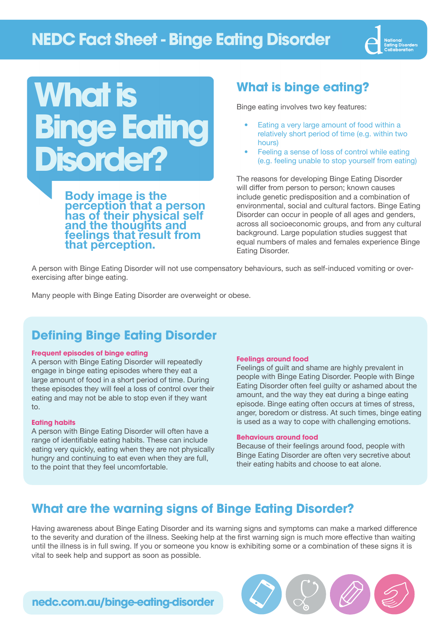## **NEDC Fact Sheet - Binge Eating Disorder**



# **What is Binge Eating Disorder?**

Body image is the perception that a person has of their physical self and the thoughts and feelings that result from that perception.

### **What is binge eating?**

Binge eating involves two key features:

- Eating a very large amount of food within a relatively short period of time (e.g. within two hours)
- Feeling a sense of loss of control while eating (e.g. feeling unable to stop yourself from eating)

The reasons for developing Binge Eating Disorder will differ from person to person; known causes include genetic predisposition and a combination of environmental, social and cultural factors. Binge Eating Disorder can occur in people of all ages and genders, across all socioeconomic groups, and from any cultural background. Large population studies suggest that equal numbers of males and females experience Binge Eating Disorder.

A person with Binge Eating Disorder will not use compensatory behaviours, such as self-induced vomiting or overexercising after binge eating.

Many people with Binge Eating Disorder are overweight or obese.

### **Defining Binge Eating Disorder**

#### **Frequent episodes of binge eating**

A person with Binge Eating Disorder will repeatedly engage in binge eating episodes where they eat a large amount of food in a short period of time. During these episodes they will feel a loss of control over their eating and may not be able to stop even if they want to.

#### **Eating habits**

A person with Binge Eating Disorder will often have a range of identifiable eating habits. These can include eating very quickly, eating when they are not physically hungry and continuing to eat even when they are full, to the point that they feel uncomfortable.

### **Feelings around food**

Feelings of guilt and shame are highly prevalent in people with Binge Eating Disorder. People with Binge Eating Disorder often feel guilty or ashamed about the amount, and the way they eat during a binge eating episode. Binge eating often occurs at times of stress, anger, boredom or distress. At such times, binge eating is used as a way to cope with challenging emotions.

#### **Behaviours around food**

Because of their feelings around food, people with Binge Eating Disorder are often very secretive about their eating habits and choose to eat alone.

### **What are the warning signs of Binge Eating Disorder?**

Having awareness about Binge Eating Disorder and its warning signs and symptoms can make a marked difference to the severity and duration of the illness. Seeking help at the first warning sign is much more effective than waiting until the illness is in full swing. If you or someone you know is exhibiting some or a combination of these signs it is vital to seek help and support as soon as possible.



**[nedc.com.au/binge-eating-disorder](http://www.nedc.com.au/binge-eating-disorder)**